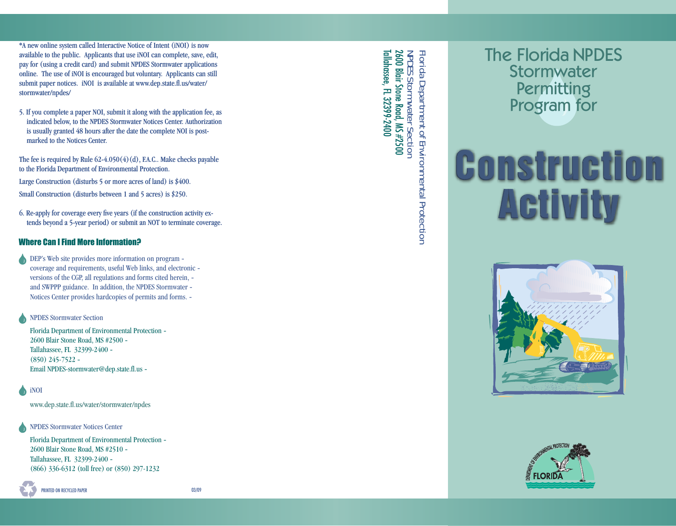\*A new online system called Interactive Notice of Intent (iNOI) is now now available to the public. Applicants that use iNOI can complete, save, edit, pay for (using a credit card) and submit NPDES Stormwater applications online. The use of iNOI is encouraged but voluntary. Applicants can still submit paper notices. iNOI is available at [www.dep.state.fl.us/water](http://www.dep.state.fl.us/water/stormwater/npdes/)/ stormwater/npdes/

5. If you complete a paper NOI, submit it along with the application fee, as as indicated below, to the NPDES Stormwater Notices Center. Authorization is usually granted 48 hours after the date the complete NOI is postmarked to the Notices Center..

The fee is required by Rule  $62-4.050(4)(d)$ , F.A.C.. Make checks payable to the Florida Department of Environmental Protection. Large Construction (disturbs  $5$  or more acres of land) is \$400. Small Construction (disturbs between 1 and 5 acres) is \$250.

6. Re-apply for coverage every five years (if the construction activity extends beyond a 5-year period) or submit an NOT to terminate coverage.

### Where Can I Find More Information?

DEP's Web site provides more information on program coverage and requirements, useful Web links, and electronic versions of the CGP, all regulations and forms cited herein, and SWPPP guidance. In addition, the NPDES Stormwater Notices Center provides hardcopies of permits and forms.

NPDES Stormwater Section

Florida Department of Environmental Protection 2600 Blair Stone Road, MS #2500 Tallahassee, FL 32399-2400 (850) 245-7522 Email NPDES-stormwater@dep.state.fl.us

iNOI

www.dep.state.fl.us/water/stormwater/npdes

NPDES Stormwater Notices Center

Florida Department of Environmental Protection 2600 Blair Stone Road, MS #2510 Tallahassee, FL 32399-2400 (866) 336-6312 (toll free) or (850) 297-1232

PRINTED ON RECYCLED PAPER 03/09

**Tallahassee, FL 32399-2400** Tallahassee, FL 32399-2400  $2600$  Blair Stone Road, MS #2500 2600 Blair Stone Road, MS #2500 Florida Department of Environmental Protection NPDES Florida Department of Environmental Protection Stormwater Section

## The Florida NPDES Stormwater **Permitting** Program for

# **Construction Activity**